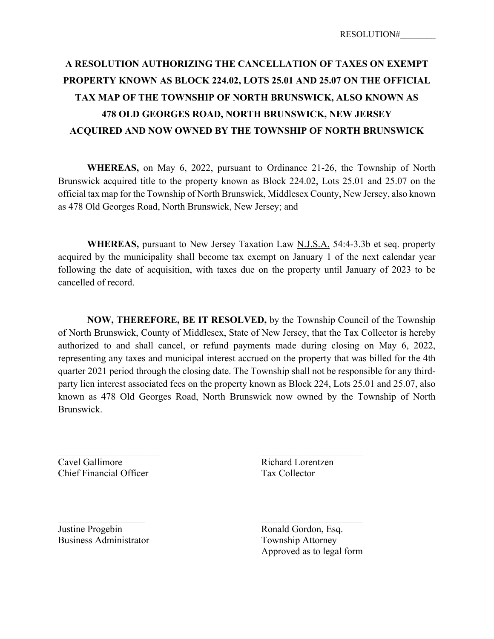## **A RESOLUTION AUTHORIZING THE CANCELLATION OF TAXES ON EXEMPT PROPERTY KNOWN AS BLOCK 224.02, LOTS 25.01 AND 25.07 ON THE OFFICIAL TAX MAP OF THE TOWNSHIP OF NORTH BRUNSWICK, ALSO KNOWN AS 478 OLD GEORGES ROAD, NORTH BRUNSWICK, NEW JERSEY ACQUIRED AND NOW OWNED BY THE TOWNSHIP OF NORTH BRUNSWICK**

**WHEREAS,** on May 6, 2022, pursuant to Ordinance 21-26, the Township of North Brunswick acquired title to the property known as Block 224.02, Lots 25.01 and 25.07 on the official tax map for the Township of North Brunswick, Middlesex County, New Jersey, also known as 478 Old Georges Road, North Brunswick, New Jersey; and

**WHEREAS,** pursuant to New Jersey Taxation Law N.J.S.A. 54:4-3.3b et seq. property acquired by the municipality shall become tax exempt on January 1 of the next calendar year following the date of acquisition, with taxes due on the property until January of 2023 to be cancelled of record.

**NOW, THEREFORE, BE IT RESOLVED,** by the Township Council of the Township of North Brunswick, County of Middlesex, State of New Jersey, that the Tax Collector is hereby authorized to and shall cancel, or refund payments made during closing on May 6, 2022, representing any taxes and municipal interest accrued on the property that was billed for the 4th quarter 2021 period through the closing date. The Township shall not be responsible for any thirdparty lien interest associated fees on the property known as Block 224, Lots 25.01 and 25.07, also known as 478 Old Georges Road, North Brunswick now owned by the Township of North Brunswick.

**Cavel Gallimore** Richard Lorentzen Chief Financial Officer Tax Collector

Justine Progebin Ronald Gordon, Esq. Business Administrator Township Attorney

Approved as to legal form